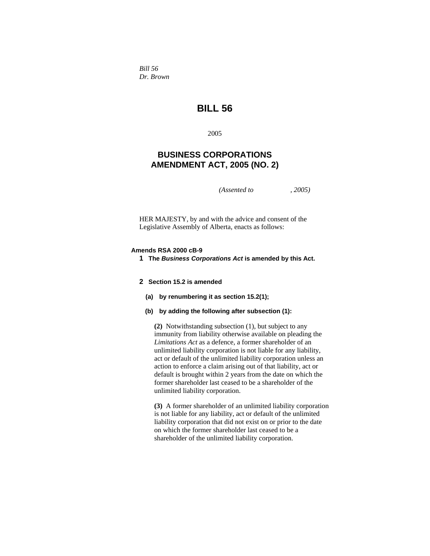*Bill 56 Dr. Brown* 

# **BILL 56**

2005

# **BUSINESS CORPORATIONS AMENDMENT ACT, 2005 (NO. 2)**

*(Assented to , 2005)* 

HER MAJESTY, by and with the advice and consent of the Legislative Assembly of Alberta, enacts as follows:

# **Amends RSA 2000 cB-9**

**1 The** *Business Corporations Act* **is amended by this Act.** 

# **2 Section 15.2 is amended**

- **(a) by renumbering it as section 15.2(1);**
- **(b) by adding the following after subsection (1):**

**(2)** Notwithstanding subsection (1), but subject to any immunity from liability otherwise available on pleading the *Limitations Act* as a defence, a former shareholder of an unlimited liability corporation is not liable for any liability, act or default of the unlimited liability corporation unless an action to enforce a claim arising out of that liability, act or default is brought within 2 years from the date on which the former shareholder last ceased to be a shareholder of the unlimited liability corporation.

**(3)** A former shareholder of an unlimited liability corporation is not liable for any liability, act or default of the unlimited liability corporation that did not exist on or prior to the date on which the former shareholder last ceased to be a shareholder of the unlimited liability corporation.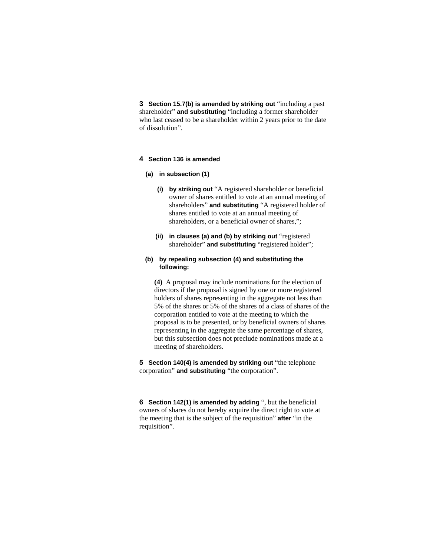**3 Section 15.7(b) is amended by striking out** "including a past shareholder" **and substituting** "including a former shareholder who last ceased to be a shareholder within 2 years prior to the date of dissolution".

#### **4 Section 136 is amended**

#### **(a) in subsection (1)**

- **(i) by striking out** "A registered shareholder or beneficial owner of shares entitled to vote at an annual meeting of shareholders" **and substituting** "A registered holder of shares entitled to vote at an annual meeting of shareholders, or a beneficial owner of shares,";
- **(ii) in clauses (a) and (b) by striking out** "registered shareholder" **and substituting** "registered holder";

# **(b) by repealing subsection (4) and substituting the following:**

**(4)** A proposal may include nominations for the election of directors if the proposal is signed by one or more registered holders of shares representing in the aggregate not less than 5% of the shares or 5% of the shares of a class of shares of the corporation entitled to vote at the meeting to which the proposal is to be presented, or by beneficial owners of shares representing in the aggregate the same percentage of shares, but this subsection does not preclude nominations made at a meeting of shareholders.

**5 Section 140(4) is amended by striking out** "the telephone corporation" **and substituting** "the corporation".

**6 Section 142(1) is amended by adding** ", but the beneficial owners of shares do not hereby acquire the direct right to vote at the meeting that is the subject of the requisition" **after** "in the requisition".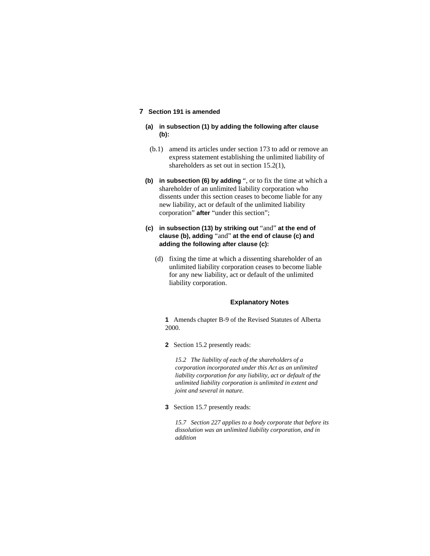# **7 Section 191 is amended**

- **(a) in subsection (1) by adding the following after clause (b):**
- (b.1) amend its articles under section 173 to add or remove an express statement establishing the unlimited liability of shareholders as set out in section 15.2(1),
- **(b) in subsection (6) by adding** ", or to fix the time at which a shareholder of an unlimited liability corporation who dissents under this section ceases to become liable for any new liability, act or default of the unlimited liability corporation" **after** "under this section";
- **(c) in subsection (13) by striking out** "and" **at the end of clause (b), adding** "and" **at the end of clause (c) and adding the following after clause (c):**
	- (d) fixing the time at which a dissenting shareholder of an unlimited liability corporation ceases to become liable for any new liability, act or default of the unlimited liability corporation.

### **Explanatory Notes**

**1** Amends chapter B-9 of the Revised Statutes of Alberta 2000.

**2** Section 15.2 presently reads:

*15.2 The liability of each of the shareholders of a corporation incorporated under this Act as an unlimited liability corporation for any liability, act or default of the unlimited liability corporation is unlimited in extent and joint and several in nature.* 

**3** Section 15.7 presently reads:

*15.7 Section 227 applies to a body corporate that before its dissolution was an unlimited liability corporation, and in addition*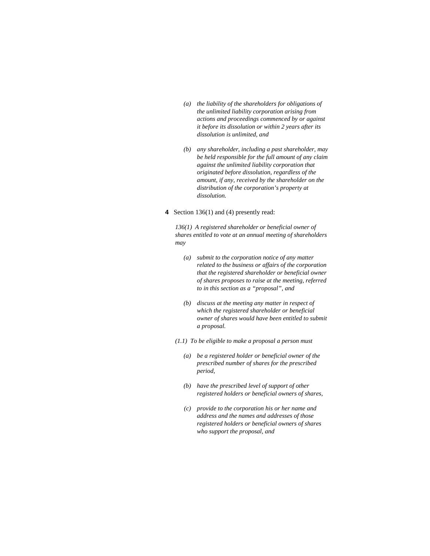- *(a) the liability of the shareholders for obligations of the unlimited liability corporation arising from actions and proceedings commenced by or against it before its dissolution or within 2 years after its dissolution is unlimited, and*
- *(b) any shareholder, including a past shareholder, may be held responsible for the full amount of any claim against the unlimited liability corporation that originated before dissolution, regardless of the amount, if any, received by the shareholder on the distribution of the corporation's property at dissolution.*
- **4** Section 136(1) and (4) presently read:

*136(1) A registered shareholder or beneficial owner of shares entitled to vote at an annual meeting of shareholders may* 

- *(a) submit to the corporation notice of any matter related to the business or affairs of the corporation that the registered shareholder or beneficial owner of shares proposes to raise at the meeting, referred to in this section as a "proposal", and*
- *(b) discuss at the meeting any matter in respect of which the registered shareholder or beneficial owner of shares would have been entitled to submit a proposal.*
- *(1.1) To be eligible to make a proposal a person must* 
	- *(a) be a registered holder or beneficial owner of the prescribed number of shares for the prescribed period,*
	- *(b) have the prescribed level of support of other registered holders or beneficial owners of shares,*
	- *(c) provide to the corporation his or her name and address and the names and addresses of those registered holders or beneficial owners of shares who support the proposal, and*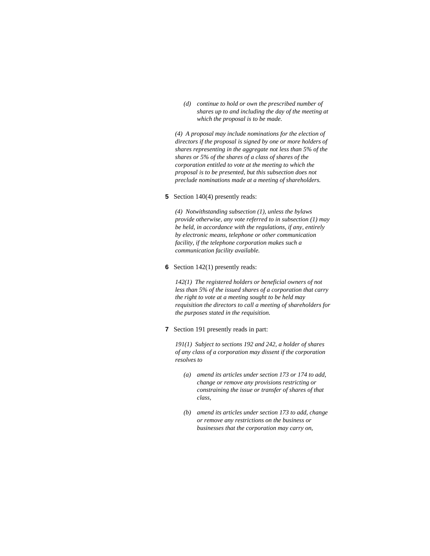*(d) continue to hold or own the prescribed number of shares up to and including the day of the meeting at which the proposal is to be made.* 

*(4) A proposal may include nominations for the election of directors if the proposal is signed by one or more holders of shares representing in the aggregate not less than 5% of the shares or 5% of the shares of a class of shares of the corporation entitled to vote at the meeting to which the proposal is to be presented, but this subsection does not preclude nominations made at a meeting of shareholders.* 

### **5** Section 140(4) presently reads:

*(4) Notwithstanding subsection (1), unless the bylaws provide otherwise, any vote referred to in subsection (1) may be held, in accordance with the regulations, if any, entirely by electronic means, telephone or other communication facility, if the telephone corporation makes such a communication facility available.* 

#### **6** Section 142(1) presently reads:

*142(1) The registered holders or beneficial owners of not less than 5% of the issued shares of a corporation that carry the right to vote at a meeting sought to be held may requisition the directors to call a meeting of shareholders for the purposes stated in the requisition.* 

**7** Section 191 presently reads in part:

*191(1) Subject to sections 192 and 242, a holder of shares of any class of a corporation may dissent if the corporation resolves to* 

- *(a) amend its articles under section 173 or 174 to add, change or remove any provisions restricting or constraining the issue or transfer of shares of that class,*
- *(b) amend its articles under section 173 to add, change or remove any restrictions on the business or businesses that the corporation may carry on,*